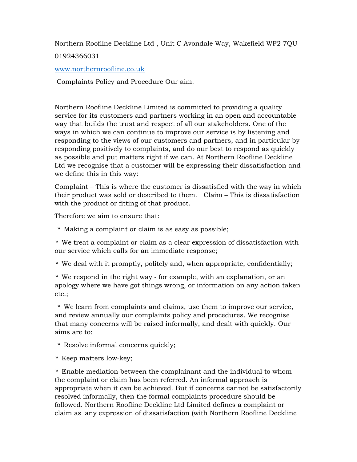Northern Roofline Deckline Ltd , Unit C Avondale Way, Wakefield WF2 7QU

01924366031

www.northernroofline.co.uk

Complaints Policy and Procedure Our aim:

Northern Roofline Deckline Limited is committed to providing a quality service for its customers and partners working in an open and accountable way that builds the trust and respect of all our stakeholders. One of the ways in which we can continue to improve our service is by listening and responding to the views of our customers and partners, and in particular by responding positively to complaints, and do our best to respond as quickly as possible and put matters right if we can. At Northern Roofline Deckline Ltd we recognise that a customer will be expressing their dissatisfaction and we define this in this way:

Complaint – This is where the customer is dissatisfied with the way in which their product was sold or described to them. Claim – This is dissatisfaction with the product or fitting of that product.

Therefore we aim to ensure that:

♣ Making a complaint or claim is as easy as possible;

♣ We treat a complaint or claim as a clear expression of dissatisfaction with our service which calls for an immediate response;

♣ We deal with it promptly, politely and, when appropriate, confidentially;

♣ We respond in the right way ‐ for example, with an explanation, or an apology where we have got things wrong, or information on any action taken etc.;

♣ We learn from complaints and claims, use them to improve our service, and review annually our complaints policy and procedures. We recognise that many concerns will be raised informally, and dealt with quickly. Our aims are to:

♣ Resolve informal concerns quickly;

♣ Keep matters low‐key;

♣ Enable mediation between the complainant and the individual to whom the complaint or claim has been referred. An informal approach is appropriate when it can be achieved. But if concerns cannot be satisfactorily resolved informally, then the formal complaints procedure should be followed. Northern Roofline Deckline Ltd Limited defines a complaint or claim as 'any expression of dissatisfaction (with Northern Roofline Deckline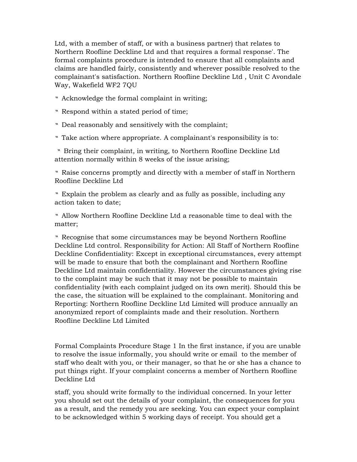Ltd, with a member of staff, or with a business partner) that relates to Northern Roofline Deckline Ltd and that requires a formal response'. The formal complaints procedure is intended to ensure that all complaints and claims are handled fairly, consistently and wherever possible resolved to the complainant's satisfaction. Northern Roofline Deckline Ltd , Unit C Avondale Way, Wakefield WF2 7QU

- ♣ Acknowledge the formal complaint in writing;
- ♣ Respond within a stated period of time;
- ♣ Deal reasonably and sensitively with the complaint;
- ♣ Take action where appropriate. A complainant's responsibility is to:

♣ Bring their complaint, in writing, to Northern Roofline Deckline Ltd attention normally within 8 weeks of the issue arising;

♣ Raise concerns promptly and directly with a member of staff in Northern Roofline Deckline Ltd

♣ Explain the problem as clearly and as fully as possible, including any action taken to date;

♣ Allow Northern Roofline Deckline Ltd a reasonable time to deal with the matter;

♣ Recognise that some circumstances may be beyond Northern Roofline Deckline Ltd control. Responsibility for Action: All Staff of Northern Roofline Deckline Confidentiality: Except in exceptional circumstances, every attempt will be made to ensure that both the complainant and Northern Roofline Deckline Ltd maintain confidentiality. However the circumstances giving rise to the complaint may be such that it may not be possible to maintain confidentiality (with each complaint judged on its own merit). Should this be the case, the situation will be explained to the complainant. Monitoring and Reporting: Northern Roofline Deckline Ltd Limited will produce annually an anonymized report of complaints made and their resolution. Northern Roofline Deckline Ltd Limited

Formal Complaints Procedure Stage 1 In the first instance, if you are unable to resolve the issue informally, you should write or email to the member of staff who dealt with you, or their manager, so that he or she has a chance to put things right. If your complaint concerns a member of Northern Roofline Deckline Ltd

staff, you should write formally to the individual concerned. In your letter you should set out the details of your complaint, the consequences for you as a result, and the remedy you are seeking. You can expect your complaint to be acknowledged within 5 working days of receipt. You should get a